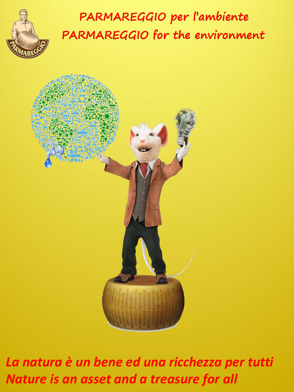

## **PARMAREGGIO per l'ambiente PARMAREGGIO for the environment**



*La natura è un bene ed una ricchezza per tutti Nature is an asset and a treasure for all*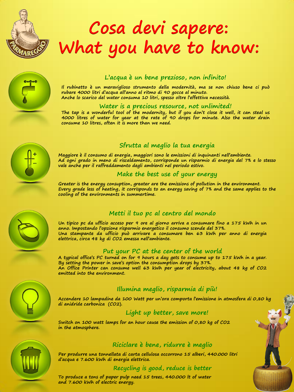

# **Cosa devi sapere: What you have to know:**



#### **L'acqua è un bene prezioso, non infinito!**

**Il rubinetto è un meraviglioso strumento della modernità, ma se non chiuso bene ci può rubare 4000 litri d'acqua all'anno al ritmo di 90 gocce al minuto. Anche lo scarico del water consuma 10 litri, spesso oltre l'effettiva necessità.**

#### **Water is a precious resource, not unlimited!**

The tap is a wonderful tool of the modernity, but if you don't close it well, it can steal us **4000 litres of water for year at the rate of 90 drops for minute. Also the water drain consume 10 litres, often it is more than we need.**



#### **Sfrutta al meglio la tua energia**

**Maggiore è il consumo di energia, maggiori sono le emissioni di inquinanti nell'ambiente. Ad ogni grado in meno di riscaldamento, corrisponde un risparmio di energia del 7% e lo stesso vale anche per il raffreddamento degli ambienti nel periodo estivo.**

#### **Make the best use of your energy**

**Greater is the energy consuption, greater are the emissions of pollution in the environment.** Every grade less of heating, it corrisponds to an energy saving of 7% and the same applies to the **cooling of the environments in summertime.**



#### **Metti il tuo pc al centro del mondo**

Un tipico pc da ufficio acceso per 9 ore al giorno arriva a consumare fino a 175 kWh in un **anno. Impostando l'opzione risparmio energetico il consumo scende del 37%. Una stampante da ufficio può arrivare a consumare ben 63 kWh per anno di energia elettrica, circa 48 kg di CO2 emessa nell'ambiente.**

#### **Put your PC at the center of the world**

A typical office's PC turned on for 9 hours a day gets to consume up to 175 kWh in a year. **By setting the power in save's option the consumption drops by 37%. An Office Printer can consume well 63 kWh per year of electricity, about 48 kg of CO2 emitted into the environment.**



#### **Illumina meglio, risparmia di più!**

**Accendere 10 lampadine da 100 Watt per un'ora comporta l'emissione in atmosfera di 0,80 kg di anidride carbonica (CO2).**

**Light up better, save more!**

**Switch on 100 watt lamps for an hour cause the emission of 0,80 kg of CO2 in the atmosphere.**



#### **Riciclare è bene, ridurre è meglio**

**Per produrre una tonnellata di carta cellulosa occorrono 15 alberi, 440.000 litri d'acqua e 7.600 kWh di energia elettrica.**

#### **Recycling is good, reduce is better**

**To produce a tons of paper pulp need 15 trees, 440.000 lt of water and 7.600 kWh of electric energy.**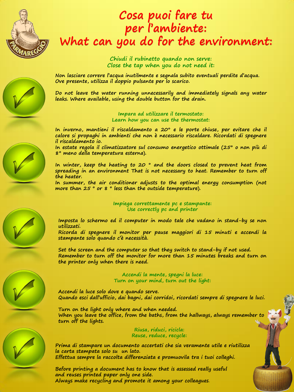

### **Cosa puoi fare tu per l'ambiente: What can you do for the environment:**

**Chiudi il rubinetto quando non serve: Close the tap when you do not need it:**

**Non lasciare correre l'acqua inutilmente e segnala subito eventuali perdite d'acqua. Ove presente, utilizza il doppio pulsante per lo scarico.**

**Do not leave the water running unnecessarily and immediately signals any water leaks. Where available, using the double button for the drain.**

> **Impara ad utilizzare il termostato: Learn how you can use the thermostat:**

**In inverno, mantieni il riscaldamento a 20° e le porte chiuse, per evitare che il calore si propaghi in ambienti che non è necessario riscaldare. Ricordati di spegnere il riscaldamento io.**

**In estate regola il climatizzatore sul consumo energetico ottimale (25° o non più di 8° meno della temperatura esterna).**

**In winter, keep the heating to 20 ° and the doors closed to prevent heat from spreading in an environment That is not necessary to heat. Remember to turn off the heater.**

**In summer, the air conditioner adjusts to the optimal energy consumption (not more than 25 ° or 8 ° less than the outside temperature).**

#### **Impiega correttamente pc e stampante: Use correctly pc and printer**

**Imposta lo schermo ed il computer in modo tale che vadano in stand-by se non utilizzati.**

**Ricorda di spegnere il monitor per pause maggiori di 15 minuti e accendi la stampante solo quando c'è necessità.**

**Set the screen and the computer so that they switch to stand-by if not used. Remember to turn off the monitor for more than 15 minutes breaks and turn on the printer only when there is need.**

> **Accendi la mente, spegni la luce: Turn on your mind, turn out the light:**

**Accendi la luce solo dove e quando serve. Quando esci dall'ufficio, dai bagni, dai corridoi, ricordati sempre di spegnere le luci.**

**Turn on the light only where and when needed. When you leave the office, from the baths, from the hallways, always remember to turn off the lights.**

> **Riusa, riduci, ricicla: Reuse, reduce, recycle:**

**Prima di stampare un documento accertati che sia veramente utile e riutilizza la carta stampata solo su un lato. Effettua sempre la raccolta differenziata e promuovila tra i tuoi colleghi.**

**Before printing a document has to know that is assessed really useful and reuses printed paper only one side. Always make recycling and promote it among your colleagues**.